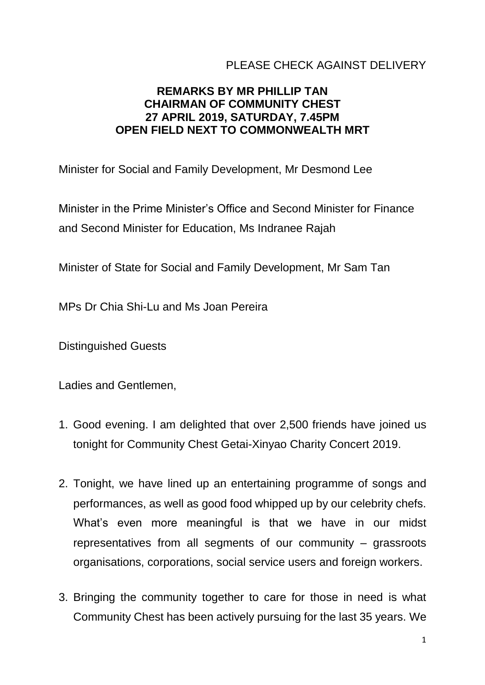## PLEASE CHECK AGAINST DELIVERY

## **REMARKS BY MR PHILLIP TAN CHAIRMAN OF COMMUNITY CHEST 27 APRIL 2019, SATURDAY, 7.45PM OPEN FIELD NEXT TO COMMONWEALTH MRT**

Minister for Social and Family Development, Mr Desmond Lee

Minister in the Prime Minister's Office and Second Minister for Finance and Second Minister for Education, Ms Indranee Rajah

Minister of State for Social and Family Development, Mr Sam Tan

MPs Dr Chia Shi-Lu and Ms Joan Pereira

Distinguished Guests

Ladies and Gentlemen,

- 1. Good evening. I am delighted that over 2,500 friends have joined us tonight for Community Chest Getai-Xinyao Charity Concert 2019.
- 2. Tonight, we have lined up an entertaining programme of songs and performances, as well as good food whipped up by our celebrity chefs. What's even more meaningful is that we have in our midst representatives from all segments of our community – grassroots organisations, corporations, social service users and foreign workers.
- 3. Bringing the community together to care for those in need is what Community Chest has been actively pursuing for the last 35 years. We